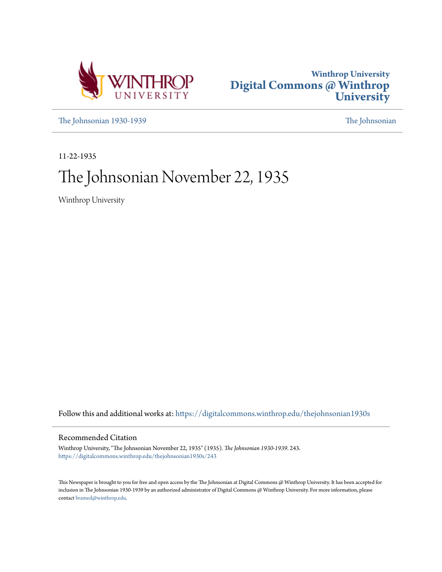



[The Johnsonian 1930-1939](https://digitalcommons.winthrop.edu/thejohnsonian1930s?utm_source=digitalcommons.winthrop.edu%2Fthejohnsonian1930s%2F243&utm_medium=PDF&utm_campaign=PDFCoverPages) [The Johnsonian](https://digitalcommons.winthrop.edu/thejohnsonian_newspaper?utm_source=digitalcommons.winthrop.edu%2Fthejohnsonian1930s%2F243&utm_medium=PDF&utm_campaign=PDFCoverPages)

11-22-1935

# The Johnsonian November 22, 1935

Winthrop University

Follow this and additional works at: [https://digitalcommons.winthrop.edu/thejohnsonian1930s](https://digitalcommons.winthrop.edu/thejohnsonian1930s?utm_source=digitalcommons.winthrop.edu%2Fthejohnsonian1930s%2F243&utm_medium=PDF&utm_campaign=PDFCoverPages)

## Recommended Citation

Winthrop University, "The Johnsonian November 22, 1935" (1935). *The Johnsonian 1930-1939*. 243. [https://digitalcommons.winthrop.edu/thejohnsonian1930s/243](https://digitalcommons.winthrop.edu/thejohnsonian1930s/243?utm_source=digitalcommons.winthrop.edu%2Fthejohnsonian1930s%2F243&utm_medium=PDF&utm_campaign=PDFCoverPages)

This Newspaper is brought to you for free and open access by the The Johnsonian at Digital Commons @ Winthrop University. It has been accepted for inclusion in The Johnsonian 1930-1939 by an authorized administrator of Digital Commons @ Winthrop University. For more information, please contact [bramed@winthrop.edu](mailto:bramed@winthrop.edu).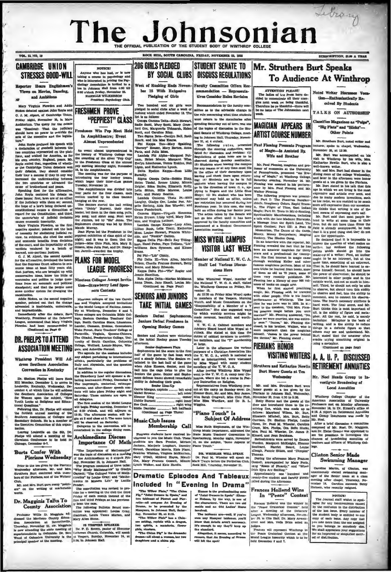# Library The Johnsonian THE OFFICIAL PUBLICATION OF THE STUDENT BODY OF SUBSCRIPTION, \$146 A VEAR

**BOOT HILL SOUTH CAROLINA MOTORN MOTORCOM AS AND** 

 $n \rightarrow \infty$ 

VOL. 13, 190, 10

**CAMBRIDGE UNION STRESSES GOOD-WILL** 

eporter Hears Englishmen's Views on Movies, Dancing, and Ambitions

en and Add Mary Virginia Pic mones debated against John Royle and<br>C. J. M. Alport, of Gambridge Union.<br>Priday night, November 16, in Mahn<br>Auditorium. The query for the debate<br>was "Resolved: That the judiclary<br>abould have no power to overvist. ted against John Royle and dd have no power to override the creentive and the legisla acts of the

John<br>a declar<br>two ure."<br>John Royle prefaced his speech with<br>declaration of goodwill between the<br>wo countries represented on the plato countries represented on the plattwo counties represented on the plat-<br> $\eta$  form, and wished for America, as for four outher, the state of the<br>main of plane, as for his average on the same of the state of the<br>state (back represented on the state of the s

vertilities renodent by a bench of<br>learned, non-partisan justices.<br>
O. J. M. Alport, the second openker<br>
Cor the afformative, developed the sause<br>
for the afformative, developed the sause<br>
noming ideas at least stiffy pear

Addie Stokes, as the second negative and imm

Ŀ

**DR. PHELPS TO ATTEND** 

## Winthrop President Will Ad-**Convention in Kentucky**

Dr. Shelton Phelps will leave Rock Dr. Shelton Phelps will leave Rock<br>Hill Monday, December 3, to arrive in Louisville, Kentucky, Wednesday, December 4, at which time he will address<br>the Southern Association of Colleges<br>for Women appointed that Southern Ass

le la a member of will be observed on Saturday.  $\overline{u}$  $\overline{c}$ 

Leav ar Louisville on the 6th, Dr. eavenue Contenue on the contenue of the Archimedians Discuss<br>reland Conference to be held in **Archimedians Discuss**<br>cago, December 6-7. **Importance Of Ma** 

Mr. and Mrs. Burt gave many "point-<br>gu" on the writing of marketable ent" on<br>works.

Dr. Magginis Talks To

Professor Willis D. Magginis ad-<br>caund the Mariboro County Educa-<br>on Association at Bennettsville,  $\begin{minipage}{0.9\textwidth} \begin{tabular}{p{0.85\textwidth}} \textbf{Gross} & \textbf{MartV} & \textbf{MartV} & \textbf{MartV} & \textbf{MartV} & \textbf{MartV} \\ \textbf{Gross} & \textbf{Aoss} & \textbf{Dematrix} & \textbf{MartV} & \textbf{MartV} & \textbf{Biss} & \textbf{BES} & \textbf{MEXER} \\ \textbf{Dos} & \textbf{Dos} & \textbf{MartV} & \textbf{MartV} & \textbf{MartV} & \textbf{MartV} & \textbf{MartV} & \textbf{MartV}$ 

NOTICE! Normal and the base and the base and the base and the state of the base of the base of the base of the base of the base of the base of the state of the state of the state of the state of the state of the state of the state iun<br>arv Chi Pre ent Payel

# **FRESHMEN PROVE** "PEPPIEST" GLASS

men Win Pep Meet Held Fresh In Amphitheatre; Event ost Unprecedented

Almost Unpreodented<br>
Amost unpreodented<br>
Amost unpreodented in the stating of Winthrep College was<br>
the a hatery of Winthrep College was<br>
the a hatery representing the allows Typ Ouy"<br>
pop meeting Monday night, November 1

**sudge** Miss Chlo Pink, Mrs. Mary E. Gibson, Miss Julia Post, and Dr. H.

**PLANS FOR MODEL LEAGUE PROGRESS** 

ton Jarrell-awarded the trophy.

Nineteen Colleges Accept Invita tion-Strawberry Leaf Sponsors Contests

me queent system are cannot painting the<br>system are cannot and the system of the second regard and the second regard to the<br>state, pointed out that the change are and Virginia accepted invitations<br>through the model of the

Tauy and Anysanus, and the question<br>of angeles in addition to the regular distantions,<br>the Strawberry Lexf will sponsor a de-<br>bathig tournament Priday, December 6.<br>The imprompile, carterial, extense-<br>raneous, and after-dim all delegates.<br>The first session of the Model League

Touth Looks at Religious and Education The Richards of the Model League<br>funal Questions."<br>
The first session of the Model League<br>  $\Gamma$  Philowing this, Dr. Fholps will attend at  $t$  20 o'clock, and will edipure at<br>
the for

uay.<br>xilon will be entertained in the o allege dining room

Importance Of Math

Burts Confer With<br>
The The Harpertane of Matematics<br>
Pierians Wednesday at the scheme of discussion at a meeting<br>
Prior to the tea given by the Pierians and S. November 18, in Johnson Rall.<br>
Prior to the tea given by the P

masure as succession and the one of the chief and the constitution was revised to provide for a meeting of the club the third first and third Fridays as has previous

Manggrams I aucus I De Caroline and Francisco and Francisco County Association by Deen the case.<br>
County Wills D. Magricia ad- mitter was appointed: Louise Gray, and the Marthon County Education of the Marthon County Educa

# 206 GIRLS PLEDGED BY SOCIAL CLUBS DISCUSS REGULATIONS

Week of Rushing Ends Novem ber 18 With Extensive Pledging of Girls

Two hundred and six girls we<br>ledged to social clubs after a week<br>ushing which ended November 18, 37<br>it is as follows:<br>Omega Gamma Delta—Ruth Pierre 

ing which varses.<br>Is as follows: Delta-Ruth Stewart, mega Genuma Delta-Ruth Stewart, mega Genuma Delta-Ruth Stewart, Heler<br>I Cox, Marguerite Tidmarsh, Heler<br>It, and Garoline Riley.<br>At, and Garoline Riley.

for www.file.org/mainter.com/mainter.com/mainter.com/mainter.com/mainter.com/mainter.com/mainter.com/mainter.com/mainter.com/mainter.com/mainter.com/mainter.com/mainter.com/mainter.com/mainter.com/mainter.com/mainter.com/m

Surasky.<br>
Sigma Omega Delta—Bobble Zimp,<br>
Helen Tindal, Remer Linley, Minnle<br>
Ecigler, Edna Baike, Elizabeth Kelly,<br>Lelia Sitton, Billie Morrow, Louise Lelia Sitton, Billie Morrow, Louise<br>Pant, and Nancy Beattle.<br>Lambda Omicron Thela Pi—Elsie<br>Langley, Gladys Orr, Louise Foy, An-

gelle H long, Alda Roe Wheeler, and Grace Funderburk.

rungerpurk.<br>me Kiema—Vimunia Alme  $\frac{1}{100}$ Helen Bryant, Libby byrd, Mary Dobbins, and Virginia Latimer.<br>Lambda Omega Kenna-Lucy Allen

| Lambda Omega Kappa-Lucy Allen,<br>| Lillian Bush, Lelia Troil.| Katherine<br>| Moss, Louise Stewart, Frances White-<br>| Moss, Louise Stewart, Frances White-<br>| Sigma Delta Fal-Belle Ray Tilling-<br>| hast, Hazel Peden, Paye Tolliaon

us Dena Par<br>Iazel Peden, F.<br>ms. Sara Syn Louisville,

Nans.<br>Pai Phi-"Lib" Chitiy,<br>Phi Delta XI--Vera Allen, Marth<br>Relason, Charle Frances Steward, Bett<br>Sone, and Mary Edwards.<br>Kappa Delta Phi--"Flo" Rogier and

e Hamilton.<br>a Alpha Delta—Marian McManu<br>Dixon, Jane Hasell, Louisa Mc<br>(Continued on Page Pour)



The contract pressure in the spherome of the set of the set of the set of the set of the set of the set of the set of the set of the set of the set of the set of the set of the set of the set of the set of the set of the

The Willey Plate," The China Plate," The China Creation of Plate," John Creek and Plate China Creation of the Drama, to be precented by the Manquers, in Johnson Hall, Saturn Drama, to be prosented by the<br>Magners, in Johnson Hall, Satur-<br>day, November 22, at 8:15.<br>The Wilbow Piate" has a Cala-<br>cae setting, replete with a dragon,<br>two spirits, a mandarin, flower

ria, stos<mark>tera.</mark><br>"The China Fig" is the dra

all ab an her two

To Audience At Winthron Faculty Committee Offers Res ammendation - Representa-**Hyan Conciden Delas Devision** on by the "

> $\mathbf{w}$ al sta

aittee as to the advisable change in be no in an what they are successing with

spending Gatunday out of town, was an spending Battirday out of town was on<br>of the topics of discussion in the Stu<br>dant Senate of Winthrop College, meet Ing in John seon Hall, Thursday, No

**STIMENT SENATE TO** 

dent Benate of Winkings, Roeinstein, and Maria Control and The Scheme Hall, the conduction of the following respectively. The following respectively the steering conduction, were likeled for changes and revistors. One con Paul Fleming Presents Progr Mr. Paul Pleming; magnital and pro-<br>
Mathis to Whalkrop by this wife, hen,<br>
Mathis and pro-<br>
Hatharine Heutin Burt, who is also a feasor of economics at the University<br>
Mr. and Mr. Burt had dinner in the off Pennsylvania,

**MISS WYGAL CAMPUS** 

# **VISITOR LAST WEFK**

Mombon of Matlanal V W C A Giaff Lad Various Discove. sione Have

Miss Winnifred Wygal, member of the National Y. W. C. A. staff, vialted the Winkhrop Campus on Priday, November 15.<br>
wenter 15. At 12:30 on Priday Miss Wygal spoke

At 13:50 on Pricks Mins Wypel speker<br> $\Delta t$  and  $\Delta t$  members of the Vergers, Morning to an<br>embers of the Vergers, Morning on the Vergers of the Vergers of the Vergers<br>of Committee, "Sin educe suggested ways (Committee," S

Memericus, The Disne of the Grafs, that it is a pool thing that there forestly. Money Decreases in Members of the decision of Memericus and the members of the forest in the forest of the members of the forest in the membe

Frances Holland Wins<br>In "Peace" Contest

In "Peace" Contest Regional state with the space of the state of the space of the space of the space of the space of the space of the space of the space of the space of the space of the space of the space of the space of

Humor is the prodominating note of "Joint Owners in Spain" (Eleanor Hobson, the characters). There are two old maids and an Old Ladies' Home

involved.<br>The lableaux are-well, if you've<br>seem any Manguer tableaux, you'll know that details aren't more<br>ative mongh to any they'll keep up<br>the standard. haveh

arcther, it seems, a er en rs, that An Evening of Dre

ATTENTION FLEASE!<br>The ladies of the Press have de-<br>cided to concernirate all their energies next week on being thankful.<br>Therefore be ye thankful....<br>there will Noted Writer Disease The To TALKS ON AUTHORSTON

**Mr. Struthers Burt Speaks** 

 $\sim$ 

*un*cusses vo<br>exissifically Re-

 $-11$ 

esivel Dr. Gindenic

Classifies Magazines as "Pulse".

"Big Fiats" and "Sileks"....

Other Points

Mr. Struthers Burt, noted writer a

November 20, at 12:30.<br>
Mr. Burt was accompanied on his<br>
visit to Winthrop by his wife, Mrs.<br>
Katharine Newlin Burt, who is also a<br>
mell.known media

combas dú at túidir

## **MAGICIAN APPEARS IN ARTIST COURSE NUMBER**

of Magic La Assisted By

 $m_{\ell_1, \ldots, \ell_n}$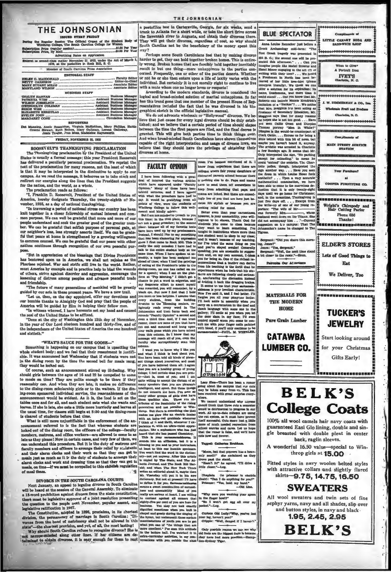## THE JOHNSONIAN

ISSUED EVERY FEIDAY<br>Ing the Regular Session The Official Organ of the Stude<br>Winthrop College, The South Carolina College for Wom \$1.00 Per Year **Subscription Price (regular a**<br>Subscription Price, By Mail.

| Entered as second-class matter November 21, 1923, under the Act of March 3.<br>1879, at the postoffice in Rock Hill, S. C. |  |
|----------------------------------------------------------------------------------------------------------------------------|--|
| Member of Couth Carolina Press Association                                                                                 |  |
| <b>EDITOBIAL STAFF</b>                                                                                                     |  |
|                                                                                                                            |  |
| <b>BUSINESS STAFF</b>                                                                                                      |  |
| ELIZABETH KERHULAS  Assistant Dusiness Manager   {                                                                         |  |
|                                                                                                                            |  |
| <b>REFORTERS</b><br>Dot Manning, Annie Rosenblum, Virginia McKeithen, Mary Phillips, Hattie                                |  |

Stewart, Ruth Bethen, Mary Galiman, Lorena.<br>Jeasie Teague, Jean Mosa Madeleine Havnsworth FRIDAY, NOVEMBER 22, 1935

ROOSEVELTS THANKSGIVING PROCLAMATION ROUSSN'S ELLI'S THANGHUIR PROUGHALITURE THE TRANSPORTED TO THE TRANSPORT OF THE SERVICE STATE THAT IS SERVER THAT THE STATE OF THE SERVER AS delivered a peculiarly percentation by the President Roosevelt has delivered a pe text of the proclamation for many reasons, not the east of which is that it may be interpreted in the diminutive to apply to our campus. As we read the message, it behoves us to take stock and reduced our energies along t

The proclamation reads as follows:<br>"I, Franklin D. Roosevelt, President of the United States of America, hereby designate Thursday, the twenty-eighth of November, 1935, as a day of national thanksgiving.

"In traversing a period of national stress our country has been knit together in a closer fellowship of mutual interest and common purpose. We can well be grateful that more and more of ourpeople understand and seek the greater good of the greater number. We can be grateful that selfish purpose of personal gain, at our neighbor's loss, less strongly asserts itself. We can be grateful that peace at h ome is strengthened by a growing willings on counsel. We can be grateful that our peace with other to comm natio ns continues through recognition of our own peaceful pur-

"But in appreciation of the blessings that Divine Providenc "Sut in apprecisation of the bessugg that Divine Providence has bettered upon us in America, we shall not rejoice as the Pharises rejoiced. War and strife still live in the world. Rather, must America hy example and in pra ning of distre is among peoples and advance peaceful trade d frie in.

"The future of many generations of mankind will be greatly The future of many greened years. We have a new trail.<br>
"Let us, then, on the day appointed, offer our devotions and<br>
"Let us, then, on the day appointed, offer our devotions and

bumble thanks to Almighty God and pray that the people of<br>erica will be guided by Him in helping their fellow men. r hu

"In witness whereof, I have hereunto set my hand and caused

In witness whereof, I have hereunto set my hand and caused<br>the seal of the United States to be affixed.<br>"Done at the city of Washington this 12th day of November,<br>in the year of Our Lord inteten hundred and thirty-five, an and sixtisth<sup>"</sup>

### "WHAT'S SAUCE FOR THE COOSE..."

"WHAT'S SAUCE FOR THE GOOSE-"<br>Something is happening on our campus that is upsetting the<br>whole student body; and we feel that their researtment is justifiable. It was amounced last Wednesday that if students were not<br>in th

Of course, such an announcement stirred up ill-feeling. Why should girls between the ages of 16 and 22 be compelled to come meals on time? They are polite enough to be there if they<br>conably can. And when they are late, it makes no difference reasonancy can. Ann when trapy are late, it makes no untremenes<br>to the dining-room sebalarahip girls or to the waiters. If the din-<br>ing-room sponsored individual service, the reasonableness of the<br>announcement would be evi the usual time, for classes still begin at 3:30 and the dining-room is the usual time, for classes still begin at 3:30 and the dining-room is detered of students before that rime.

mountement referred to is the fact that whereas students are<br>locked out of the dining room, the officers of the college-faculty trons, and office workers-are allowed to come in as members, marrons, and orires workers—are allowed to come in as late as they please! Now in certain cases, and very few of them, we can understand this procedure. But it is the duty of matrons and factly members and officer  $rs. m$ and inclusions and work and dressing time so that they can get to alterni clocks and work and dressing time so that they can get to on time-if we must be compelled to this childish regulation UST NB

## DIVORCE IN THE SOUTH CAROLINA COURTS

Martinus in a man South Carolina<br>Next January, an appeal to legalize divorce in South Carolina<br>will be heard at the seasion of the General Assembly. To eliminate<br>a 18-word prohibition against divorce from the state constit next November, popular assent, and

.

avoznamenos juevo ne:<br>Jesse – entel\_taren :

a postoffice box in Cartersville, Georgia, for six weeks, send a ik to Atlanta for a short while, or take the short Hrive across ten crues to Atlease for a short where, or take the about arrest chrome the Savannah river to Augusta, and obtain their or one of the They will get their divorces, regardless of cost, so why should South Carolina not be the be way?

Perhaps some South Camlinians feel that by making divorce harder to get, they can hold together broken homes. This is entire y wrong. Broken homes that are forcibly held together inevitably recult in but one thing-more unlappines to the parties con-<br>result in but one thing-more unlappines to the parties descri-<br>cerned. Frequently, one or other of the parties deserts. Whether or not he or sho then enters upon a life of laxity varies with the oriental part of the continue to live

nuividual. But certainly it is not morally right to continue to live<br>has a mate when one in longer loves or respects!<br>According to the modern standards, divorce is considered the<br>ogical and broad-minded solution of marital  $\alpha$  and  $\alpha$  come-minused solution or marrial unnappiness, so raise of Rep.<br>has this trend gone that one member of the present House of Rep. exerge the distribution of the control of the control of the control of the control of the control of the control of the control of the control of the control of the control of the control of the control of the control of

We do not advocate whole<br>and correlation of "Hollywood" diverces. We be-live that just cause for every legal diverce should be duly established; and we believe that a certain period of time should clapse between the time granted. This<br>And when bros divorces at home

| <b>FACULTY OPINION</b>                                                                                            |
|-------------------------------------------------------------------------------------------------------------------|
| I have been following with a great<br>deal of interest the various articles<br>which have appeared under "Paculty |
| Opinion." Many of these have been<br>tabloid sermons, and I have agreed  <br>with what the preachers have had to  |
| say. It would be gratifying from all                                                                              |

plats of view, were the students of<br>Initiarop College to follow this well-<br>sent and kindly advice.  $W^{\text{max}}$ meant and kindige after. Better here the point in the state are then then you in 10 and 10 and 10 and 10 and 10 and 10 and 10 and 10 and 10 and 10 and 10 and 10 and 10 and 10 and 10 and 10 and 10 and 10 and 10 and 10 and **Rut I am not m** led to treach to you this th

column.<br>I want you to know why I like<br>and what I think is best about<br>You have been told all kinds of pl<br>ant things about yourselves, and : any tunings account you have been all: I a<br>that you are a healthy group of you have things; I feel certain that you are p<br>ty-hat is, most of you; and I st of you; and I ax<br>accept the dictum of a quite willing to accept the detum<br>may speaker that you are pletter intelligent, and speet. But these<br>intelligent, and speet. But these is<br>many other proups of piris that<br>may other proups of the featuring of the final<br>compa uite willing to a s me glow like an ek th an a  $\overline{a}$ an infra-red<br>nk of it and th prassan<br>rill, wh  $-7.61$ te it, with an ultr ion, like a sophomore who has ju This is your ear amenablentas. Il<br>Ion, but it is a blessing to you and to your in You won't find the word in the not yet anyway. After this a cold by The State, and Th ary-more year and we can be considered in the file of land and the file and the file and when The West Time with a method in the with the set of the set of the set of the set of the set of the set of the set of the set of Mr. Visetelay will put it in his new that the conductionary. But not at present if it is not all to see the mean a seven there means a sweet combination of earnest and amenabulity Macis of your East and amenabulity Macis o ra that legislative ratification in 1937.<br>
The Constitution, adopted in 1937.<br>
The Constitution, adopted in 1937, proclaims, in its chortest density can assume that the constitution, adopted in 1935, proclaims, in its chortest de

room 1'm become convinced of it **Y** mee that there are colleges where fair young daughters of *<u>void</u> uniques* then  $\sim$ the slan to do. Pana and mam have to send them off somewhere to<br>have to send them off somewhere to<br>keep from admitting that name and ing that papa and mama are licked. But there are around. ally few of you that are here just because it's stylish or because you are

cause it's styliah or because you are<br>seting relief for cannt.<br>Better even than your carnest<br>associate the state of the state in the layer will increase in<br>the state in the state of the state is stated in the state<br>of the caught in institutions where more than<br>and it wasn't because of my class;<br>and it wasn't because of my teaching<br>for Tve tried the same thing on you to suggest -eray  $\overline{1}$ news mm  $1.1$ 

ourgenite:<br>w. Jones?"

JODEST"<br>1081 "Yas, Aeren

Sergeant: "Well, the next the

**Detroites Our Adams** 

MATERIALS FOR

THE MODERN

**HOME** 

**Pure Grain Lumber** 

**CATAWBA** 



**au-There** has been a rumor<br>ut the campus that *e*ur cuts<br>aken away from **u**z. This has  $1.0000000$ ay be tak elved with great surveys on We cannot un stand why any

id think that these mis a a t taroe cuis a semester<br>nial io progress in our<br>fain colleges are using rould be detriment<br>rork. All up-to-da to-date colleges e cut ave se nave prov<br>sem just a lit itenif m If successful to the differentiation in the of much needed recreation in the solid world have the false, and would have ent, so it me that the ru the most small for

**Tagged:** Cath  $T_{\text{max}}$ 

"Minm, but that popcorn has a half a half and the excluding and rove past the stan .<br>and state datas .

 $H = \frac{1}{2}$ Thaplain (to prisoner in electricially): "Can I do anything for you?"<br>Prisoner: "Yes, hold my hand."<br>Prisoner: "Yes, hold my hand."

"Why were you washing your spoon<br>in the finger bowl?"<br>"Ho I won't get egg all over my

Curious Old Lady: "Why, you've lost

Only postble reason we can see why they have had more practice



100% all wool camels hair navy coats with guaranteed Easl Glo lining, double and single breasted with double pleat in center

back, raglin sleeves. A wonderful 16.50 value-special to Winthrop girls at 15.00

Fitted styles in navy woolen belted styles with attractive collars and slightly flared skirts-9.75, 14.75, 16.50

**SWEATERS** 

All wool sweaters and twin sets of fine zephyr yarns, navy and all shades, slip over and button styles, in navy and black.

> 1.95, 2.45, 2.95 **BELK'S**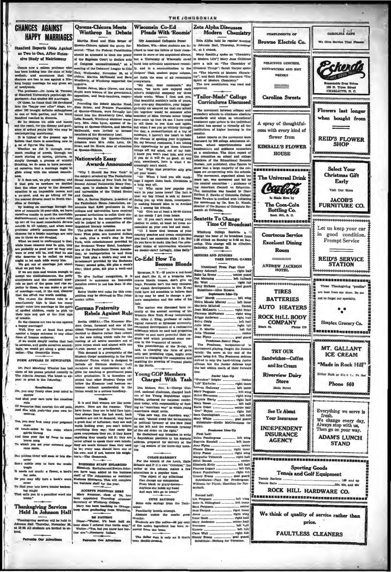## **CHANCES AGAINST HAPPY MARRIAGES**

If we are men and women enough to stay.<br>
If we are not working to distribute the constraints and the overalously to<br> $\frac{1}{2}$  is the analysis of the state of the game and the overalously<br> $\frac{1}{2}$  is the principal term of

their toys

 $\frac{1}{100}$ 

sorrow<br>And shut your ears unto the

h the old pain,

nemories that nourtah the old p

Yes, you may look away your p

stare<br>stare maintaining the resident<br>time your lips by for<br>brave song<br>the your set your out<br>cance more  $\alpha$ 

and two

Or you may idly turn a t

To find yo ur late h

That calls you to a pencilled word she

# Thanksgiving Services<br>Held In Johnson Hall

sgiving services will be held in<br>Hall Thursday, November 28,<br>All students are invited to al- $\mathbf{r}$ summon Hall<br>at 13:30, All at

la Our Adv

Queens-Chicora Meets<br>Winthrop In Debate

Martha Hood and Eisie Setner of

near toys and quit at the first sign Rebels Against Rule (see to the first sign in Rebels Against Rule (see Against Rule (see Against Sad one of the parts of the first corps, formula in the weak with the sign with the sig

ound we<br>see a second the newsle compared for the Young Republican organization<br>of the Young Republican organization of the second term of the Young Republican organization<br>have forms; they are in bold field they by the fi have are much thinner than they use to be; every man abould have one<br>his own, and if not, borrow his neighbor's .--The Gamecock.

**BUS TESS STAFF ENLARO**<br>th Kerhulas and Evelyn Elizabeth Kerhulas and Evelyn Joh<br>n have been added to the busin d Evelyn Jo ff of The Johnso in as Assist gers. This will com os staff for the year

### **ACCEPTS POSITION HERE** ry Net

Firstning Alu ...<br>Winthrop College.<br>has been to<br>schichter in ...<br>to graduating in ... r, claus of 34, ha suary reussiner, case<br>en appointed Trave<br>cretary of Winthrop

EE FATHERT<br>
Dines-"Walter, ii's been half a<br>
hour since I ordered that turite soup<br>
Walter-"Yes, but you know how turite soup<br>
ties are."--Newberry Indian. n half ar

## THE JOHNSONIAN

## Wisconsin Co-Ed **Pleads With 'Roo**

ted Collegiate Pr

hat.<br>The matter was discussed here re-<br>cently at the annual meeting of the Western New York X-ray technicians.<br>Dr. Allen J. King, professor of radio-<br>logical research at flywood polytonicative.<br>recounted development of a r

substance winter means the groperture<br>similar to and more powerful than radium and which promised some ruc-<br>costs in the trainment of cancer. The potentialities of the X-ray, he<br>said, in changing the form of germ,<br>cells an enabling the growing of tropical plant in the North

## Young GOP Members Charged With Task

re 11. Takk <br>
Des Moines, Nov. 8.--George Olm-<br>
Sied, national chattman, charged lead-<br>
ers of the Young Republican organization<br>
mon today, with responsibility of finding an "American way"<br>
impan-Wanten way"<br>
in American

**COLOR HARMONY** For the benefit of Joe L ats, Hal For the benefit of Journal Hall and the condition of the state and P. C.'s own "Columbo," if<br>there of this column makes a fermericons to a popular tune.<br>The object of my affections on production<br>The matrix production of th " th writer of th And says let's go to **CUYE SAYINGS** Soma cute sa Pamiliarity breeds attempt

Btudy ts are like coff of the active ingredient has

The dollar sign is only an